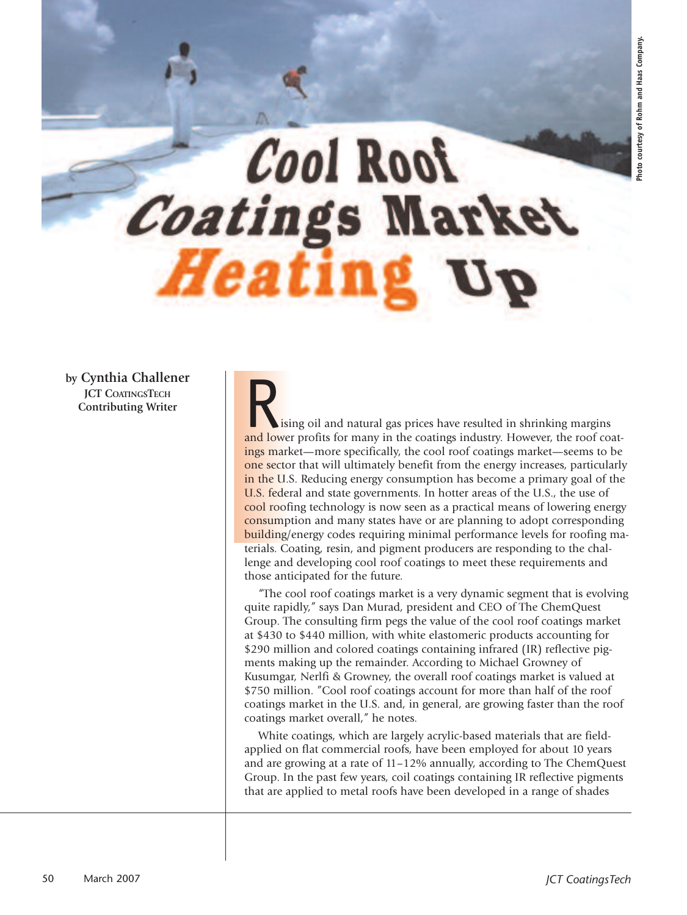# Cool Rool *Coatings* Marke

**by Cynthia Challener JCT COATINGSTECH Contributing Writer**

**R** ising oil and natural gas prices have resulted in shrinking margins and lower profits for many in the coatings industry. However, the roof coatings market—more specifically, the cool roof coatings market—seems to be one sector that will ultimately benefit from the energy increases, particularly in the U.S. Reducing energy consumption has become a primary goal of the U.S. federal and state governments. In hotter areas of the U.S., the use of cool roofing technology is now seen as a practical means of lowering energy consumption and many states have or are planning to adopt corresponding building/energy codes requiring minimal performance levels for roofing materials. Coating, resin, and pigment producers are responding to the challenge and developing cool roof coatings to meet these requirements and those anticipated for the future.

"The cool roof coatings market is a very dynamic segment that is evolving quite rapidly," says Dan Murad, president and CEO of The ChemQuest Group. The consulting firm pegs the value of the cool roof coatings market at \$430 to \$440 million, with white elastomeric products accounting for \$290 million and colored coatings containing infrared (IR) reflective pigments making up the remainder. According to Michael Growney of Kusumgar, Nerlfi & Growney, the overall roof coatings market is valued at \$750 million. "Cool roof coatings account for more than half of the roof coatings market in the U.S. and, in general, are growing faster than the roof coatings market overall," he notes.

White coatings, which are largely acrylic-based materials that are fieldapplied on flat commercial roofs, have been employed for about 10 years and are growing at a rate of 11–12% annually, according to The ChemQuest Group. In the past few years, coil coatings containing IR reflective pigments that are applied to metal roofs have been developed in a range of shades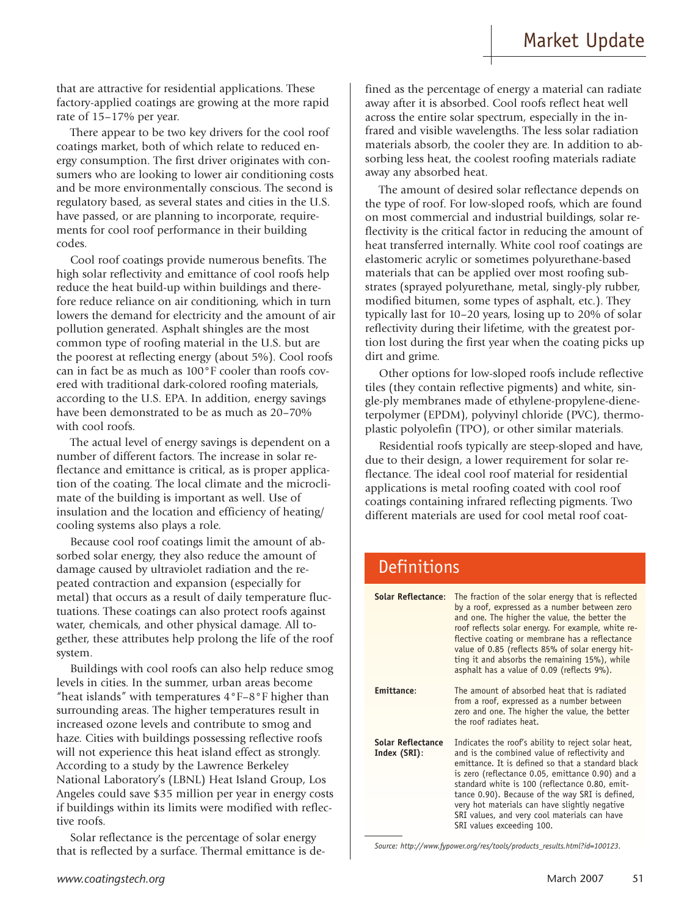that are attractive for residential applications. These factory-applied coatings are growing at the more rapid rate of 15–17% per year.

There appear to be two key drivers for the cool roof coatings market, both of which relate to reduced energy consumption. The first driver originates with consumers who are looking to lower air conditioning costs and be more environmentally conscious. The second is regulatory based, as several states and cities in the U.S. have passed, or are planning to incorporate, requirements for cool roof performance in their building codes.

Cool roof coatings provide numerous benefits. The high solar reflectivity and emittance of cool roofs help reduce the heat build-up within buildings and therefore reduce reliance on air conditioning, which in turn lowers the demand for electricity and the amount of air pollution generated. Asphalt shingles are the most common type of roofing material in the U.S. but are the poorest at reflecting energy (about 5%). Cool roofs can in fact be as much as 100°F cooler than roofs covered with traditional dark-colored roofing materials, according to the U.S. EPA. In addition, energy savings have been demonstrated to be as much as 20–70% with cool roofs.

The actual level of energy savings is dependent on a number of different factors. The increase in solar reflectance and emittance is critical, as is proper application of the coating. The local climate and the microclimate of the building is important as well. Use of insulation and the location and efficiency of heating/ cooling systems also plays a role.

Because cool roof coatings limit the amount of absorbed solar energy, they also reduce the amount of damage caused by ultraviolet radiation and the repeated contraction and expansion (especially for metal) that occurs as a result of daily temperature fluctuations. These coatings can also protect roofs against water, chemicals, and other physical damage. All together, these attributes help prolong the life of the roof system.

Buildings with cool roofs can also help reduce smog levels in cities. In the summer, urban areas become "heat islands" with temperatures 4°F–8°F higher than surrounding areas. The higher temperatures result in increased ozone levels and contribute to smog and haze. Cities with buildings possessing reflective roofs will not experience this heat island effect as strongly. According to a study by the Lawrence Berkeley National Laboratory's (LBNL) Heat Island Group, Los Angeles could save \$35 million per year in energy costs if buildings within its limits were modified with reflective roofs.

Solar reflectance is the percentage of solar energy that is reflected by a surface. Thermal emittance is defined as the percentage of energy a material can radiate away after it is absorbed. Cool roofs reflect heat well across the entire solar spectrum, especially in the infrared and visible wavelengths. The less solar radiation materials absorb, the cooler they are. In addition to absorbing less heat, the coolest roofing materials radiate away any absorbed heat.

The amount of desired solar reflectance depends on the type of roof. For low-sloped roofs, which are found on most commercial and industrial buildings, solar reflectivity is the critical factor in reducing the amount of heat transferred internally. White cool roof coatings are elastomeric acrylic or sometimes polyurethane-based materials that can be applied over most roofing substrates (sprayed polyurethane, metal, singly-ply rubber, modified bitumen, some types of asphalt, etc.). They typically last for 10–20 years, losing up to 20% of solar reflectivity during their lifetime, with the greatest portion lost during the first year when the coating picks up dirt and grime.

Other options for low-sloped roofs include reflective tiles (they contain reflective pigments) and white, single-ply membranes made of ethylene-propylene-dieneterpolymer (EPDM), polyvinyl chloride (PVC), thermoplastic polyolefin (TPO), or other similar materials.

Residential roofs typically are steep-sloped and have, due to their design, a lower requirement for solar reflectance. The ideal cool roof material for residential applications is metal roofing coated with cool roof coatings containing infrared reflecting pigments. Two different materials are used for cool metal roof coat-

### **Definitions**

| <b>Solar Reflectance:</b>         | The fraction of the solar energy that is reflected<br>by a roof, expressed as a number between zero<br>and one. The higher the value, the better the<br>roof reflects solar energy. For example, white re-<br>flective coating or membrane has a reflectance<br>value of 0.85 (reflects 85% of solar energy hit-<br>ting it and absorbs the remaining 15%), while<br>asphalt has a value of 0.09 (reflects 9%).                                 |
|-----------------------------------|-------------------------------------------------------------------------------------------------------------------------------------------------------------------------------------------------------------------------------------------------------------------------------------------------------------------------------------------------------------------------------------------------------------------------------------------------|
| Emittance:                        | The amount of absorbed heat that is radiated<br>from a roof, expressed as a number between<br>zero and one. The higher the value, the better<br>the roof radiates heat.                                                                                                                                                                                                                                                                         |
| Solar Reflectance<br>Index (SRI): | Indicates the roof's ability to reject solar heat,<br>and is the combined value of reflectivity and<br>emittance. It is defined so that a standard black<br>is zero (reflectance 0.05, emittance 0.90) and a<br>standard white is 100 (reflectance 0.80, emit-<br>tance 0.90). Because of the way SRI is defined,<br>very hot materials can have slightly negative<br>SRI values, and very cool materials can have<br>SRI values exceeding 100. |

*Source: http://www.fypower.org/res/tools/products\_results.html?id=100123.*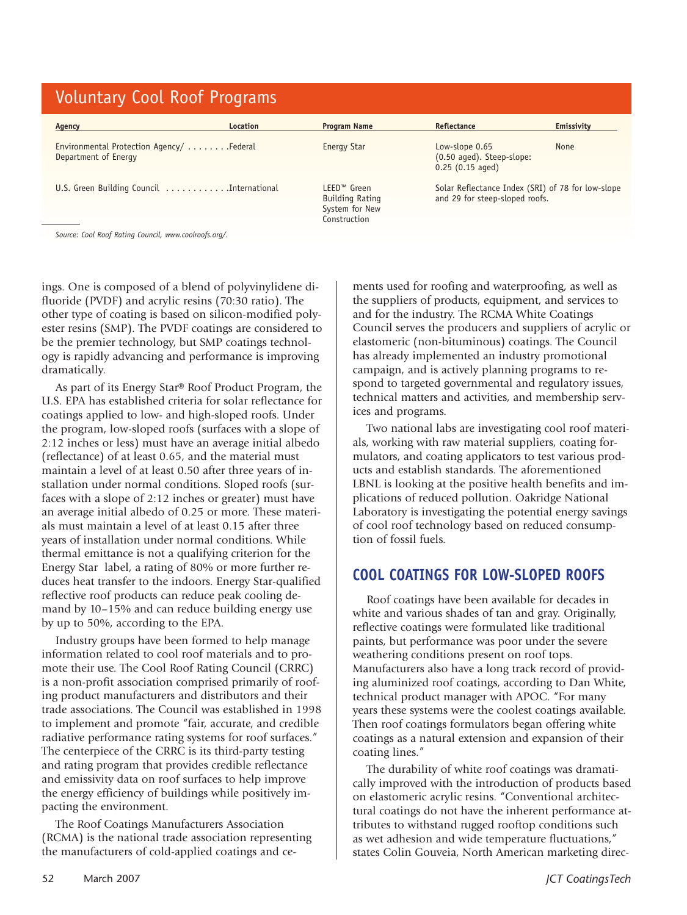## Voluntary Cool Roof Programs

| Agency                                                            | Location | Program Name                                                                 | Reflectance                                                                         | Emissivity |
|-------------------------------------------------------------------|----------|------------------------------------------------------------------------------|-------------------------------------------------------------------------------------|------------|
| Environmental Protection Agency/  Federal<br>Department of Energy |          | Energy Star                                                                  | Low-slope 0.65<br>(0.50 aged). Steep-slope:<br>$0.25$ (0.15 aged)                   | None       |
| U.S. Green Building Council International                         |          | LEED <sup>™</sup> Green<br>Building Rating<br>System for New<br>Construction | Solar Reflectance Index (SRI) of 78 for low-slope<br>and 29 for steep-sloped roofs. |            |

*Source: Cool Roof Rating Council, www.coolroofs.org/.*

ings. One is composed of a blend of polyvinylidene difluoride (PVDF) and acrylic resins (70:30 ratio). The other type of coating is based on silicon-modified polyester resins (SMP). The PVDF coatings are considered to be the premier technology, but SMP coatings technology is rapidly advancing and performance is improving dramatically.

As part of its Energy Star® Roof Product Program, the U.S. EPA has established criteria for solar reflectance for coatings applied to low- and high-sloped roofs. Under the program, low-sloped roofs (surfaces with a slope of 2:12 inches or less) must have an average initial albedo (reflectance) of at least 0.65, and the material must maintain a level of at least 0.50 after three years of installation under normal conditions. Sloped roofs (surfaces with a slope of 2:12 inches or greater) must have an average initial albedo of 0.25 or more. These materials must maintain a level of at least 0.15 after three years of installation under normal conditions. While thermal emittance is not a qualifying criterion for the Energy Star label, a rating of 80% or more further reduces heat transfer to the indoors. Energy Star-qualified reflective roof products can reduce peak cooling demand by 10–15% and can reduce building energy use by up to 50%, according to the EPA.

Industry groups have been formed to help manage information related to cool roof materials and to promote their use. The Cool Roof Rating Council (CRRC) is a non-profit association comprised primarily of roofing product manufacturers and distributors and their trade associations. The Council was established in 1998 to implement and promote "fair, accurate, and credible radiative performance rating systems for roof surfaces." The centerpiece of the CRRC is its third-party testing and rating program that provides credible reflectance and emissivity data on roof surfaces to help improve the energy efficiency of buildings while positively impacting the environment.

The Roof Coatings Manufacturers Association (RCMA) is the national trade association representing the manufacturers of cold-applied coatings and cements used for roofing and waterproofing, as well as the suppliers of products, equipment, and services to and for the industry. The RCMA White Coatings Council serves the producers and suppliers of acrylic or elastomeric (non-bituminous) coatings. The Council has already implemented an industry promotional campaign, and is actively planning programs to respond to targeted governmental and regulatory issues, technical matters and activities, and membership services and programs.

Two national labs are investigating cool roof materials, working with raw material suppliers, coating formulators, and coating applicators to test various products and establish standards. The aforementioned LBNL is looking at the positive health benefits and implications of reduced pollution. Oakridge National Laboratory is investigating the potential energy savings of cool roof technology based on reduced consumption of fossil fuels.

#### **COOL COATINGS FOR LOW-SLOPED ROOFS**

Roof coatings have been available for decades in white and various shades of tan and gray. Originally, reflective coatings were formulated like traditional paints, but performance was poor under the severe weathering conditions present on roof tops. Manufacturers also have a long track record of providing aluminized roof coatings, according to Dan White, technical product manager with APOC. "For many years these systems were the coolest coatings available. Then roof coatings formulators began offering white coatings as a natural extension and expansion of their coating lines."

The durability of white roof coatings was dramatically improved with the introduction of products based on elastomeric acrylic resins. "Conventional architectural coatings do not have the inherent performance attributes to withstand rugged rooftop conditions such as wet adhesion and wide temperature fluctuations," states Colin Gouveia, North American marketing direc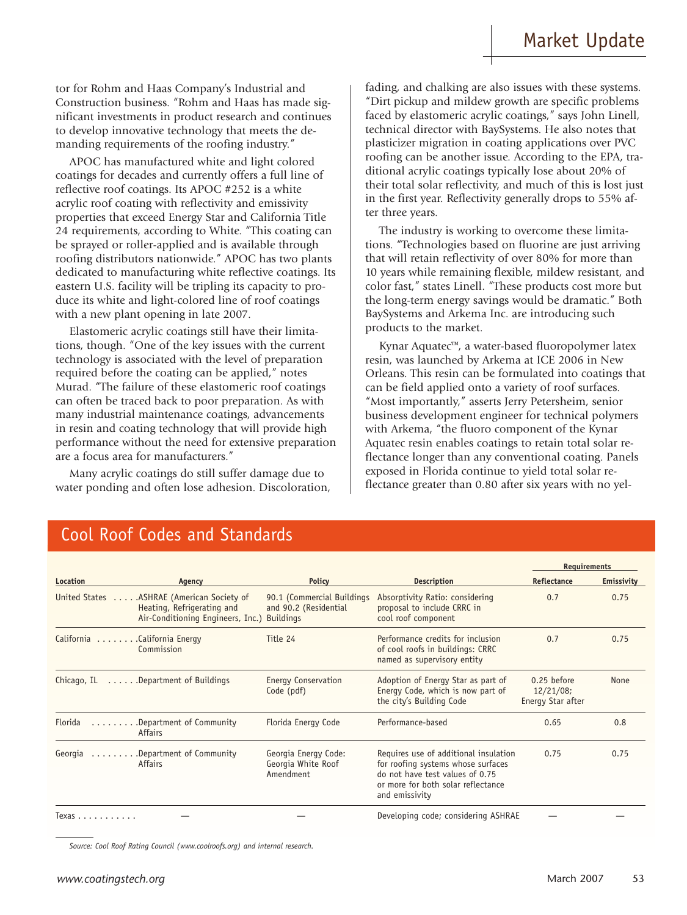tor for Rohm and Haas Company's Industrial and Construction business. "Rohm and Haas has made significant investments in product research and continues to develop innovative technology that meets the demanding requirements of the roofing industry."

APOC has manufactured white and light colored coatings for decades and currently offers a full line of reflective roof coatings. Its APOC #252 is a white acrylic roof coating with reflectivity and emissivity properties that exceed Energy Star and California Title 24 requirements, according to White. "This coating can be sprayed or roller-applied and is available through roofing distributors nationwide." APOC has two plants dedicated to manufacturing white reflective coatings. Its eastern U.S. facility will be tripling its capacity to produce its white and light-colored line of roof coatings with a new plant opening in late 2007.

Elastomeric acrylic coatings still have their limitations, though. "One of the key issues with the current technology is associated with the level of preparation required before the coating can be applied," notes Murad. "The failure of these elastomeric roof coatings can often be traced back to poor preparation. As with many industrial maintenance coatings, advancements in resin and coating technology that will provide high performance without the need for extensive preparation are a focus area for manufacturers."

Many acrylic coatings do still suffer damage due to water ponding and often lose adhesion. Discoloration, fading, and chalking are also issues with these systems. "Dirt pickup and mildew growth are specific problems faced by elastomeric acrylic coatings," says John Linell, technical director with BaySystems. He also notes that plasticizer migration in coating applications over PVC roofing can be another issue. According to the EPA, traditional acrylic coatings typically lose about 20% of their total solar reflectivity, and much of this is lost just in the first year. Reflectivity generally drops to 55% after three years.

The industry is working to overcome these limitations. "Technologies based on fluorine are just arriving that will retain reflectivity of over 80% for more than 10 years while remaining flexible, mildew resistant, and color fast," states Linell. "These products cost more but the long-term energy savings would be dramatic." Both BaySystems and Arkema Inc. are introducing such products to the market.

Kynar Aquatec™, a water-based fluoropolymer latex resin, was launched by Arkema at ICE 2006 in New Orleans. This resin can be formulated into coatings that can be field applied onto a variety of roof surfaces. "Most importantly," asserts Jerry Petersheim, senior business development engineer for technical polymers with Arkema, "the fluoro component of the Kynar Aquatec resin enables coatings to retain total solar reflectance longer than any conventional coating. Panels exposed in Florida continue to yield total solar reflectance greater than 0.80 after six years with no yel-

|                              |                                                                                                              |                                                                         |                                                                                                                                                                        | <b>Requirements</b>                           |            |
|------------------------------|--------------------------------------------------------------------------------------------------------------|-------------------------------------------------------------------------|------------------------------------------------------------------------------------------------------------------------------------------------------------------------|-----------------------------------------------|------------|
| Location                     | Agency                                                                                                       | <b>Policy</b>                                                           | <b>Description</b>                                                                                                                                                     | Reflectance                                   | Emissivity |
|                              | United States ASHRAE (American Society of<br>Heating, Refrigerating and<br>Air-Conditioning Engineers, Inc.) | 90.1 (Commercial Buildings<br>and 90.2 (Residential<br><b>Buildings</b> | Absorptivity Ratio: considering<br>proposal to include CRRC in<br>cool roof component                                                                                  | 0.7                                           | 0.75       |
| California California Energy | Commission                                                                                                   | Title 24                                                                | Performance credits for inclusion<br>of cool roofs in buildings: CRRC<br>named as supervisory entity                                                                   | 0.7                                           | 0.75       |
| Chicago, IL                  | Department of Buildings                                                                                      | Energy Conservation<br>Code (pdf)                                       | Adoption of Energy Star as part of<br>Energy Code, which is now part of<br>the city's Building Code                                                                    | 0.25 before<br>12/21/08;<br>Energy Star after | None       |
| Florida                      | Department of Community<br>Affairs                                                                           | Florida Energy Code                                                     | Performance-based                                                                                                                                                      | 0.65                                          | 0.8        |
| Georgia                      | Department of Community<br><b>Affairs</b>                                                                    | Georgia Energy Code:<br>Georgia White Roof<br>Amendment                 | Requires use of additional insulation<br>for roofing systems whose surfaces<br>do not have test values of 0.75<br>or more for both solar reflectance<br>and emissivity | 0.75                                          | 0.75       |
| Texas                        |                                                                                                              |                                                                         | Developing code; considering ASHRAE                                                                                                                                    |                                               |            |

## Cool Roof Codes and Standards

*Source: Cool Roof Rating Council (www.coolroofs.org) and internal research.*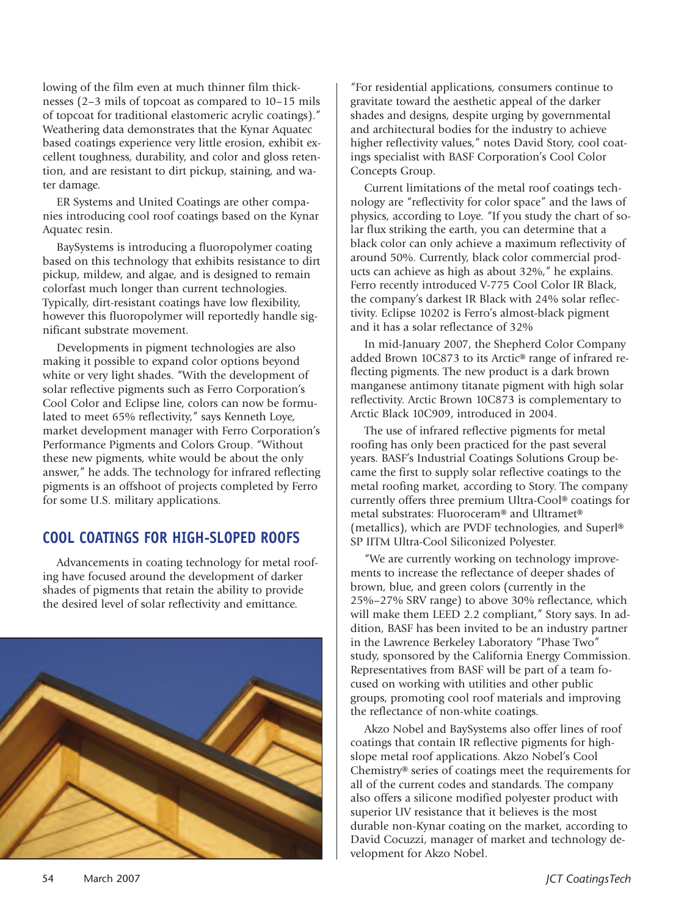lowing of the film even at much thinner film thicknesses (2–3 mils of topcoat as compared to 10–15 mils of topcoat for traditional elastomeric acrylic coatings)." Weathering data demonstrates that the Kynar Aquatec based coatings experience very little erosion, exhibit excellent toughness, durability, and color and gloss retention, and are resistant to dirt pickup, staining, and water damage.

ER Systems and United Coatings are other companies introducing cool roof coatings based on the Kynar Aquatec resin.

BaySystems is introducing a fluoropolymer coating based on this technology that exhibits resistance to dirt pickup, mildew, and algae, and is designed to remain colorfast much longer than current technologies. Typically, dirt-resistant coatings have low flexibility, however this fluoropolymer will reportedly handle significant substrate movement.

Developments in pigment technologies are also making it possible to expand color options beyond white or very light shades. "With the development of solar reflective pigments such as Ferro Corporation's Cool Color and Eclipse line, colors can now be formulated to meet 65% reflectivity," says Kenneth Loye, market development manager with Ferro Corporation's Performance Pigments and Colors Group. "Without these new pigments, white would be about the only answer," he adds. The technology for infrared reflecting pigments is an offshoot of projects completed by Ferro for some U.S. military applications.

### **COOL COATINGS FOR HIGH-SLOPED ROOFS**

Advancements in coating technology for metal roofing have focused around the development of darker shades of pigments that retain the ability to provide the desired level of solar reflectivity and emittance.



"For residential applications, consumers continue to gravitate toward the aesthetic appeal of the darker shades and designs, despite urging by governmental and architectural bodies for the industry to achieve higher reflectivity values," notes David Story, cool coatings specialist with BASF Corporation's Cool Color Concepts Group.

Current limitations of the metal roof coatings technology are "reflectivity for color space" and the laws of physics, according to Loye. "If you study the chart of solar flux striking the earth, you can determine that a black color can only achieve a maximum reflectivity of around 50%. Currently, black color commercial products can achieve as high as about 32%," he explains. Ferro recently introduced V-775 Cool Color IR Black, the company's darkest IR Black with 24% solar reflectivity. Eclipse 10202 is Ferro's almost-black pigment and it has a solar reflectance of 32%

In mid-January 2007, the Shepherd Color Company added Brown 10C873 to its Arctic® range of infrared reflecting pigments. The new product is a dark brown manganese antimony titanate pigment with high solar reflectivity. Arctic Brown 10C873 is complementary to Arctic Black 10C909, introduced in 2004.

The use of infrared reflective pigments for metal roofing has only been practiced for the past several years. BASF's Industrial Coatings Solutions Group became the first to supply solar reflective coatings to the metal roofing market, according to Story. The company currently offers three premium Ultra-Cool® coatings for metal substrates: Fluoroceram® and Ultramet® (metallics), which are PVDF technologies, and Superl® SP IITM Ultra-Cool Siliconized Polyester.

"We are currently working on technology improvements to increase the reflectance of deeper shades of brown, blue, and green colors (currently in the 25%–27% SRV range) to above 30% reflectance, which will make them LEED 2.2 compliant," Story says. In addition, BASF has been invited to be an industry partner in the Lawrence Berkeley Laboratory "Phase Two" study, sponsored by the California Energy Commission. Representatives from BASF will be part of a team focused on working with utilities and other public groups, promoting cool roof materials and improving the reflectance of non-white coatings.

Akzo Nobel and BaySystems also offer lines of roof coatings that contain IR reflective pigments for highslope metal roof applications. Akzo Nobel's Cool Chemistry® series of coatings meet the requirements for all of the current codes and standards. The company also offers a silicone modified polyester product with superior UV resistance that it believes is the most durable non-Kynar coating on the market, according to David Cocuzzi, manager of market and technology development for Akzo Nobel.